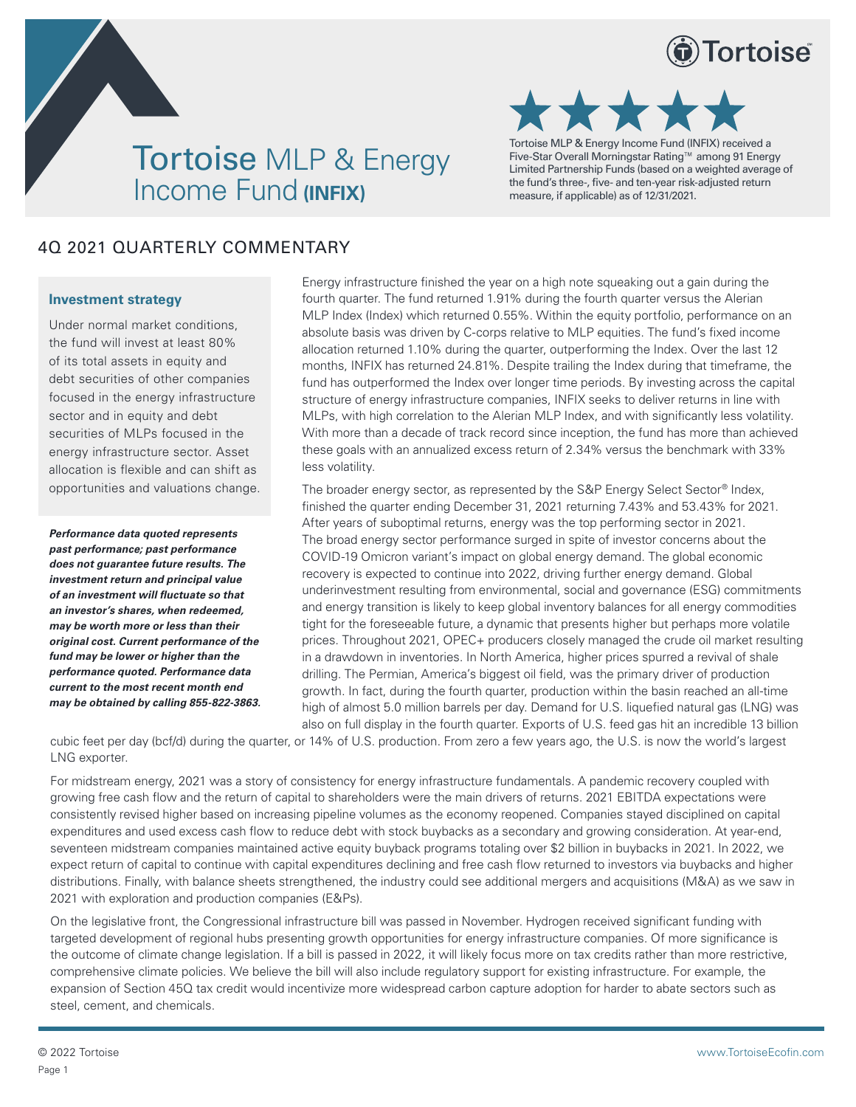





Tortoise MLP & Energy Income Fund (INFIX) received a Five-Star Overall Morningstar Rating™ among 91 Energy Limited Partnership Funds (based on a weighted average of the fund's three-, five- and ten-year risk-adjusted return measure, if applicable) as of 12/31/2021.

# 4Q 2021 QUARTERLY COMMENTARY

## **Investment strategy**

Under normal market conditions, the fund will invest at least 80% of its total assets in equity and debt securities of other companies focused in the energy infrastructure sector and in equity and debt securities of MLPs focused in the energy infrastructure sector. Asset allocation is flexible and can shift as opportunities and valuations change.

*Performance data quoted represents past performance; past performance does not guarantee future results. The investment return and principal value of an investment will fluctuate so that an investor's shares, when redeemed, may be worth more or less than their original cost. Current performance of the fund may be lower or higher than the performance quoted. Performance data current to the most recent month end may be obtained by calling 855-822-3863.*

Energy infrastructure finished the year on a high note squeaking out a gain during the fourth quarter. The fund returned 1.91% during the fourth quarter versus the Alerian MLP Index (Index) which returned 0.55%. Within the equity portfolio, performance on an absolute basis was driven by C-corps relative to MLP equities. The fund's fixed income allocation returned 1.10% during the quarter, outperforming the Index. Over the last 12 months, INFIX has returned 24.81%. Despite trailing the Index during that timeframe, the fund has outperformed the Index over longer time periods. By investing across the capital structure of energy infrastructure companies, INFIX seeks to deliver returns in line with MLPs, with high correlation to the Alerian MLP Index, and with significantly less volatility. With more than a decade of track record since inception, the fund has more than achieved these goals with an annualized excess return of 2.34% versus the benchmark with 33% less volatility.

The broader energy sector, as represented by the S&P Energy Select Sector® Index, finished the quarter ending December 31, 2021 returning 7.43% and 53.43% for 2021. After years of suboptimal returns, energy was the top performing sector in 2021. The broad energy sector performance surged in spite of investor concerns about the COVID-19 Omicron variant's impact on global energy demand. The global economic recovery is expected to continue into 2022, driving further energy demand. Global underinvestment resulting from environmental, social and governance (ESG) commitments and energy transition is likely to keep global inventory balances for all energy commodities tight for the foreseeable future, a dynamic that presents higher but perhaps more volatile prices. Throughout 2021, OPEC+ producers closely managed the crude oil market resulting in a drawdown in inventories. In North America, higher prices spurred a revival of shale drilling. The Permian, America's biggest oil field, was the primary driver of production growth. In fact, during the fourth quarter, production within the basin reached an all-time high of almost 5.0 million barrels per day. Demand for U.S. liquefied natural gas (LNG) was also on full display in the fourth quarter. Exports of U.S. feed gas hit an incredible 13 billion

cubic feet per day (bcf/d) during the quarter, or 14% of U.S. production. From zero a few years ago, the U.S. is now the world's largest LNG exporter.

For midstream energy, 2021 was a story of consistency for energy infrastructure fundamentals. A pandemic recovery coupled with growing free cash flow and the return of capital to shareholders were the main drivers of returns. 2021 EBITDA expectations were consistently revised higher based on increasing pipeline volumes as the economy reopened. Companies stayed disciplined on capital expenditures and used excess cash flow to reduce debt with stock buybacks as a secondary and growing consideration. At year-end, seventeen midstream companies maintained active equity buyback programs totaling over \$2 billion in buybacks in 2021. In 2022, we expect return of capital to continue with capital expenditures declining and free cash flow returned to investors via buybacks and higher distributions. Finally, with balance sheets strengthened, the industry could see additional mergers and acquisitions (M&A) as we saw in 2021 with exploration and production companies (E&Ps).

On the legislative front, the Congressional infrastructure bill was passed in November. Hydrogen received significant funding with targeted development of regional hubs presenting growth opportunities for energy infrastructure companies. Of more significance is the outcome of climate change legislation. If a bill is passed in 2022, it will likely focus more on tax credits rather than more restrictive, comprehensive climate policies. We believe the bill will also include regulatory support for existing infrastructure. For example, the expansion of Section 45Q tax credit would incentivize more widespread carbon capture adoption for harder to abate sectors such as steel, cement, and chemicals.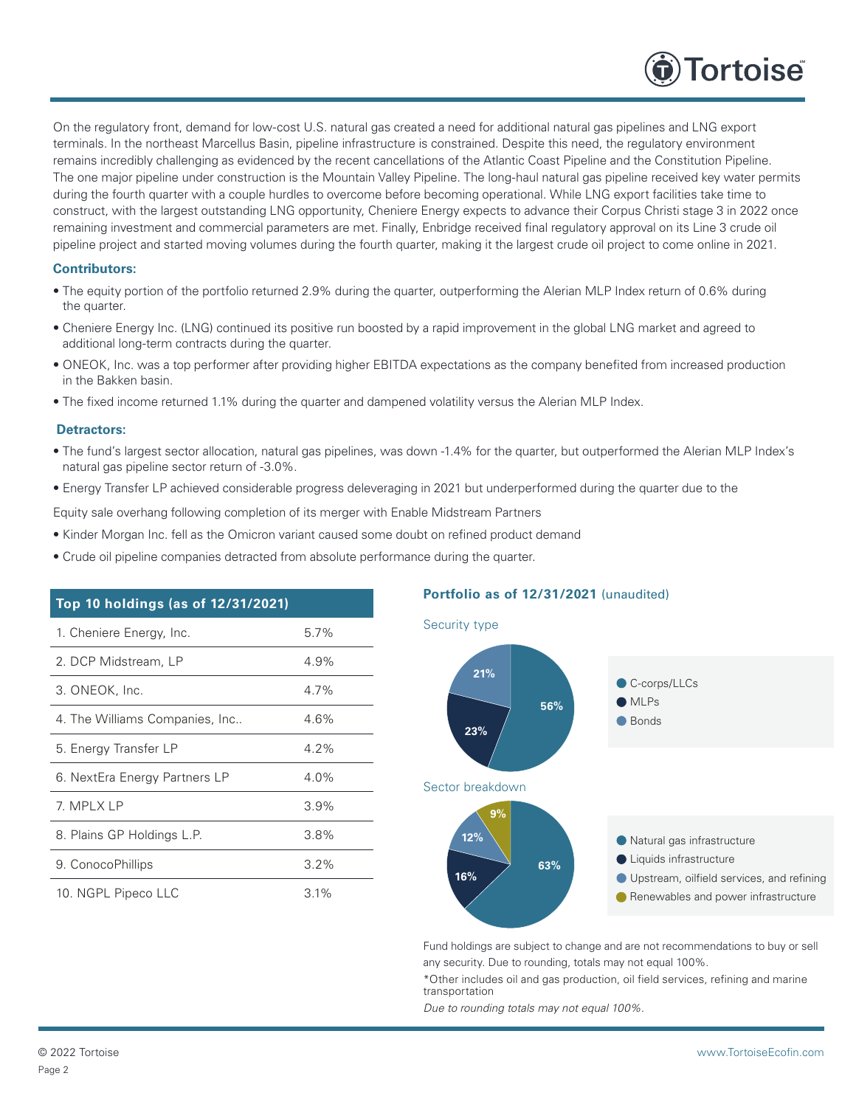

On the regulatory front, demand for low-cost U.S. natural gas created a need for additional natural gas pipelines and LNG export terminals. In the northeast Marcellus Basin, pipeline infrastructure is constrained. Despite this need, the regulatory environment remains incredibly challenging as evidenced by the recent cancellations of the Atlantic Coast Pipeline and the Constitution Pipeline. The one major pipeline under construction is the Mountain Valley Pipeline. The long-haul natural gas pipeline received key water permits during the fourth quarter with a couple hurdles to overcome before becoming operational. While LNG export facilities take time to construct, with the largest outstanding LNG opportunity, Cheniere Energy expects to advance their Corpus Christi stage 3 in 2022 once remaining investment and commercial parameters are met. Finally, Enbridge received final regulatory approval on its Line 3 crude oil pipeline project and started moving volumes during the fourth quarter, making it the largest crude oil project to come online in 2021.

# **Contributors:**

- The equity portion of the portfolio returned 2.9% during the quarter, outperforming the Alerian MLP Index return of 0.6% during the quarter.
- Cheniere Energy Inc. (LNG) continued its positive run boosted by a rapid improvement in the global LNG market and agreed to additional long-term contracts during the quarter.
- ONEOK, Inc. was a top performer after providing higher EBITDA expectations as the company benefited from increased production in the Bakken basin.
- The fixed income returned 1.1% during the quarter and dampened volatility versus the Alerian MLP Index.

#### **Detractors:**

- The fund's largest sector allocation, natural gas pipelines, was down -1.4% for the quarter, but outperformed the Alerian MLP Index's natural gas pipeline sector return of -3.0%.
- Energy Transfer LP achieved considerable progress deleveraging in 2021 but underperformed during the quarter due to the

Equity sale overhang following completion of its merger with Enable Midstream Partners

- Kinder Morgan Inc. fell as the Omicron variant caused some doubt on refined product demand
- Crude oil pipeline companies detracted from absolute performance during the quarter.

| Top 10 holdings (as of 12/31/2021) |         |  |  |
|------------------------------------|---------|--|--|
| 1. Cheniere Energy, Inc.           | 5.7%    |  |  |
| 2. DCP Midstream, LP               | 4.9%    |  |  |
| 3. ONEOK, Inc.                     | 4.7%    |  |  |
| 4. The Williams Companies, Inc     | 4.6%    |  |  |
| 5. Energy Transfer LP              | $4.2\%$ |  |  |
| 6. NextEra Energy Partners LP      | $4.0\%$ |  |  |
| 7. MPLX LP                         | 3.9%    |  |  |
| 8. Plains GP Holdings L.P.         | 3.8%    |  |  |
| 9. ConocoPhillips                  | $3.2\%$ |  |  |
| 10. NGPL Pipeco LLC                | 3.1%    |  |  |

# **Portfolio as of 12/31/2021** (unaudited)



Fund holdings are subject to change and are not recommendations to buy or sell any security. Due to rounding, totals may not equal 100%.

\*Other includes oil and gas production, oil field services, refining and marine transportation

*Due to rounding totals may not equal 100%.*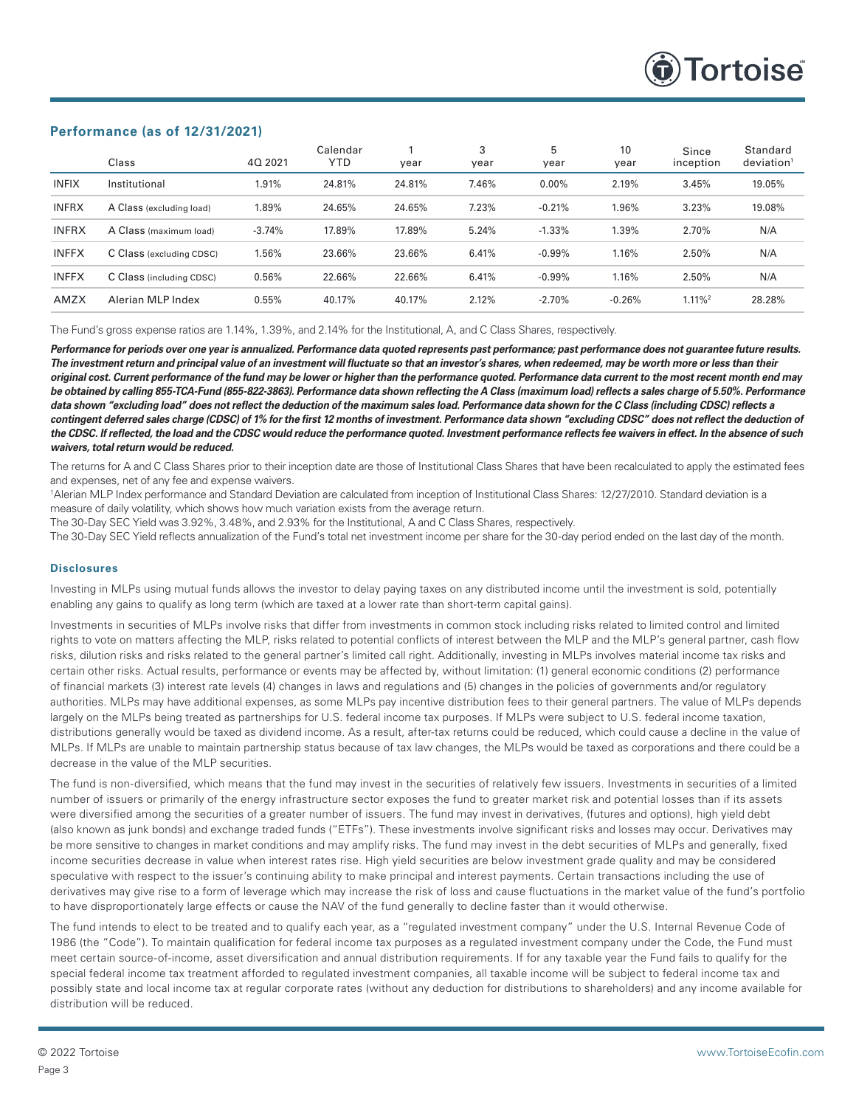

## **Performance (as of 12/31/2021)**

|              | Class                    | 40 2021  | Calendar<br>YTD | year   | 3<br>year | 5<br>year | 10<br>year | Since<br>inception    | Standard<br>deviation |
|--------------|--------------------------|----------|-----------------|--------|-----------|-----------|------------|-----------------------|-----------------------|
| <b>INFIX</b> | Institutional            | 1.91%    | 24.81%          | 24.81% | 7.46%     | $0.00\%$  | 2.19%      | 3.45%                 | 19.05%                |
| <b>INFRX</b> | A Class (excluding load) | 1.89%    | 24.65%          | 24.65% | 7.23%     | $-0.21%$  | 1.96%      | 3.23%                 | 19.08%                |
| <b>INFRX</b> | A Class (maximum load)   | $-3.74%$ | 17.89%          | 17.89% | 5.24%     | $-1.33%$  | 1.39%      | 2.70%                 | N/A                   |
| <b>INFFX</b> | C Class (excluding CDSC) | 1.56%    | 23.66%          | 23.66% | 6.41%     | $-0.99\%$ | 1.16%      | 2.50%                 | N/A                   |
| <b>INFFX</b> | C Class (including CDSC) | 0.56%    | 22.66%          | 22.66% | 6.41%     | $-0.99%$  | 1.16%      | 2.50%                 | N/A                   |
| <b>AMZX</b>  | Alerian MLP Index        | 0.55%    | 40.17%          | 40.17% | 2.12%     | $-2.70%$  | $-0.26%$   | $1.11\%$ <sup>2</sup> | 28.28%                |

The Fund's gross expense ratios are 1.14%, 1.39%, and 2.14% for the Institutional, A, and C Class Shares, respectively.

*Performance for periods over one year is annualized. Performance data quoted represents past performance; past performance does not guarantee future results. The investment return and principal value of an investment will fluctuate so that an investor's shares, when redeemed, may be worth more or less than their original cost. Current performance of the fund may be lower or higher than the performance quoted. Performance data current to the most recent month end may be obtained by calling 855-TCA-Fund (855-822-3863). Performance data shown reflecting the A Class (maximum load) reflects a sales charge of 5.50%. Performance*  data shown "excluding load" does not reflect the deduction of the maximum sales load. Performance data shown for the C Class (including CDSC) reflects a *contingent deferred sales charge (CDSC) of 1% for the first 12 months of investment. Performance data shown "excluding CDSC" does not reflect the deduction of the CDSC. If reflected, the load and the CDSC would reduce the performance quoted. Investment performance reflects fee waivers in effect. In the absence of such waivers, total return would be reduced.* 

The returns for A and C Class Shares prior to their inception date are those of Institutional Class Shares that have been recalculated to apply the estimated fees and expenses, net of any fee and expense waivers.

1 Alerian MLP Index performance and Standard Deviation are calculated from inception of Institutional Class Shares: 12/27/2010. Standard deviation is a measure of daily volatility, which shows how much variation exists from the average return.

The 30-Day SEC Yield was 3.92%, 3.48%, and 2.93% for the Institutional, A and C Class Shares, respectively.

The 30-Day SEC Yield reflects annualization of the Fund's total net investment income per share for the 30-day period ended on the last day of the month.

### **Disclosures**

Investing in MLPs using mutual funds allows the investor to delay paying taxes on any distributed income until the investment is sold, potentially enabling any gains to qualify as long term (which are taxed at a lower rate than short-term capital gains).

Investments in securities of MLPs involve risks that differ from investments in common stock including risks related to limited control and limited rights to vote on matters affecting the MLP, risks related to potential conflicts of interest between the MLP and the MLP's general partner, cash flow risks, dilution risks and risks related to the general partner's limited call right. Additionally, investing in MLPs involves material income tax risks and certain other risks. Actual results, performance or events may be affected by, without limitation: (1) general economic conditions (2) performance of financial markets (3) interest rate levels (4) changes in laws and regulations and (5) changes in the policies of governments and/or regulatory authorities. MLPs may have additional expenses, as some MLPs pay incentive distribution fees to their general partners. The value of MLPs depends largely on the MLPs being treated as partnerships for U.S. federal income tax purposes. If MLPs were subject to U.S. federal income taxation, distributions generally would be taxed as dividend income. As a result, after-tax returns could be reduced, which could cause a decline in the value of MLPs. If MLPs are unable to maintain partnership status because of tax law changes, the MLPs would be taxed as corporations and there could be a decrease in the value of the MLP securities.

The fund is non-diversified, which means that the fund may invest in the securities of relatively few issuers. Investments in securities of a limited number of issuers or primarily of the energy infrastructure sector exposes the fund to greater market risk and potential losses than if its assets were diversified among the securities of a greater number of issuers. The fund may invest in derivatives, (futures and options), high yield debt (also known as junk bonds) and exchange traded funds ("ETFs"). These investments involve significant risks and losses may occur. Derivatives may be more sensitive to changes in market conditions and may amplify risks. The fund may invest in the debt securities of MLPs and generally, fixed income securities decrease in value when interest rates rise. High yield securities are below investment grade quality and may be considered speculative with respect to the issuer's continuing ability to make principal and interest payments. Certain transactions including the use of derivatives may give rise to a form of leverage which may increase the risk of loss and cause fluctuations in the market value of the fund's portfolio to have disproportionately large effects or cause the NAV of the fund generally to decline faster than it would otherwise.

The fund intends to elect to be treated and to qualify each year, as a "regulated investment company" under the U.S. Internal Revenue Code of 1986 (the "Code"). To maintain qualification for federal income tax purposes as a regulated investment company under the Code, the Fund must meet certain source-of-income, asset diversification and annual distribution requirements. If for any taxable year the Fund fails to qualify for the special federal income tax treatment afforded to regulated investment companies, all taxable income will be subject to federal income tax and possibly state and local income tax at regular corporate rates (without any deduction for distributions to shareholders) and any income available for distribution will be reduced.